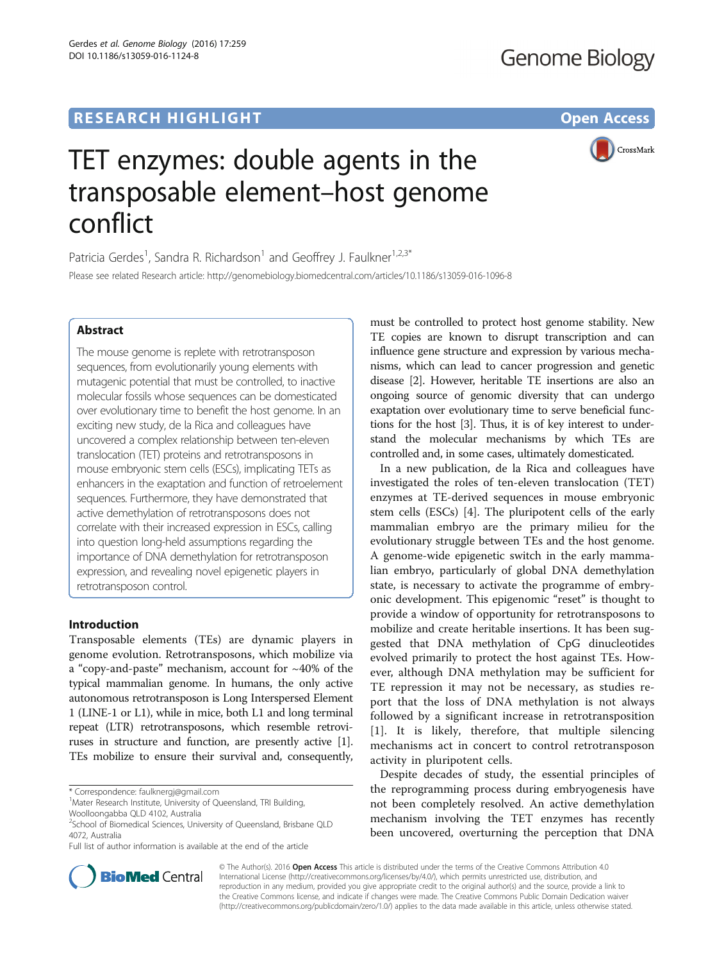Gerdes et al. Genome Biology (2016) 17:259

DOI 10.1186/s13059-016-1124-8

CrossMark

# TET enzymes: double agents in the transposable element–host genome conflict

Patricia Gerdes<sup>1</sup>, Sandra R. Richardson<sup>1</sup> and Geoffrey J. Faulkner<sup>1,2,3\*</sup> Please see related Research article:<http://genomebiology.biomedcentral.com/articles/10.1186/s13059-016-1096-8>

# Abstract

The mouse genome is replete with retrotransposon sequences, from evolutionarily young elements with mutagenic potential that must be controlled, to inactive molecular fossils whose sequences can be domesticated over evolutionary time to benefit the host genome. In an exciting new study, de la Rica and colleagues have uncovered a complex relationship between ten-eleven translocation (TET) proteins and retrotransposons in mouse embryonic stem cells (ESCs), implicating TETs as enhancers in the exaptation and function of retroelement sequences. Furthermore, they have demonstrated that active demethylation of retrotransposons does not correlate with their increased expression in ESCs, calling into question long-held assumptions regarding the importance of DNA demethylation for retrotransposon expression, and revealing novel epigenetic players in retrotransposon control.

## Introduction

Transposable elements (TEs) are dynamic players in genome evolution. Retrotransposons, which mobilize via a "copy-and-paste" mechanism, account for ~40% of the typical mammalian genome. In humans, the only active autonomous retrotransposon is Long Interspersed Element 1 (LINE-1 or L1), while in mice, both L1 and long terminal repeat (LTR) retrotransposons, which resemble retroviruses in structure and function, are presently active [[1](#page-3-0)]. TEs mobilize to ensure their survival and, consequently,

\* Correspondence: [faulknergj@gmail.com](mailto:faulknergj@gmail.com) <sup>1</sup>



In a new publication, de la Rica and colleagues have investigated the roles of ten-eleven translocation (TET) enzymes at TE-derived sequences in mouse embryonic stem cells (ESCs) [\[4](#page-3-0)]. The pluripotent cells of the early mammalian embryo are the primary milieu for the evolutionary struggle between TEs and the host genome. A genome-wide epigenetic switch in the early mammalian embryo, particularly of global DNA demethylation state, is necessary to activate the programme of embryonic development. This epigenomic "reset" is thought to provide a window of opportunity for retrotransposons to mobilize and create heritable insertions. It has been suggested that DNA methylation of CpG dinucleotides evolved primarily to protect the host against TEs. However, although DNA methylation may be sufficient for TE repression it may not be necessary, as studies report that the loss of DNA methylation is not always followed by a significant increase in retrotransposition [[1\]](#page-3-0). It is likely, therefore, that multiple silencing mechanisms act in concert to control retrotransposon activity in pluripotent cells.

Despite decades of study, the essential principles of the reprogramming process during embryogenesis have not been completely resolved. An active demethylation mechanism involving the TET enzymes has recently been uncovered, overturning the perception that DNA



© The Author(s). 2016 Open Access This article is distributed under the terms of the Creative Commons Attribution 4.0 International License [\(http://creativecommons.org/licenses/by/4.0/](http://creativecommons.org/licenses/by/4.0/)), which permits unrestricted use, distribution, and reproduction in any medium, provided you give appropriate credit to the original author(s) and the source, provide a link to the Creative Commons license, and indicate if changes were made. The Creative Commons Public Domain Dedication waiver [\(http://creativecommons.org/publicdomain/zero/1.0/](http://creativecommons.org/publicdomain/zero/1.0/)) applies to the data made available in this article, unless otherwise stated.

<sup>&</sup>lt;sup>1</sup>Mater Research Institute, University of Queensland, TRI Building, Woolloongabba QLD 4102, Australia

<sup>&</sup>lt;sup>2</sup>School of Biomedical Sciences, University of Queensland, Brisbane QLD 4072, Australia

Full list of author information is available at the end of the article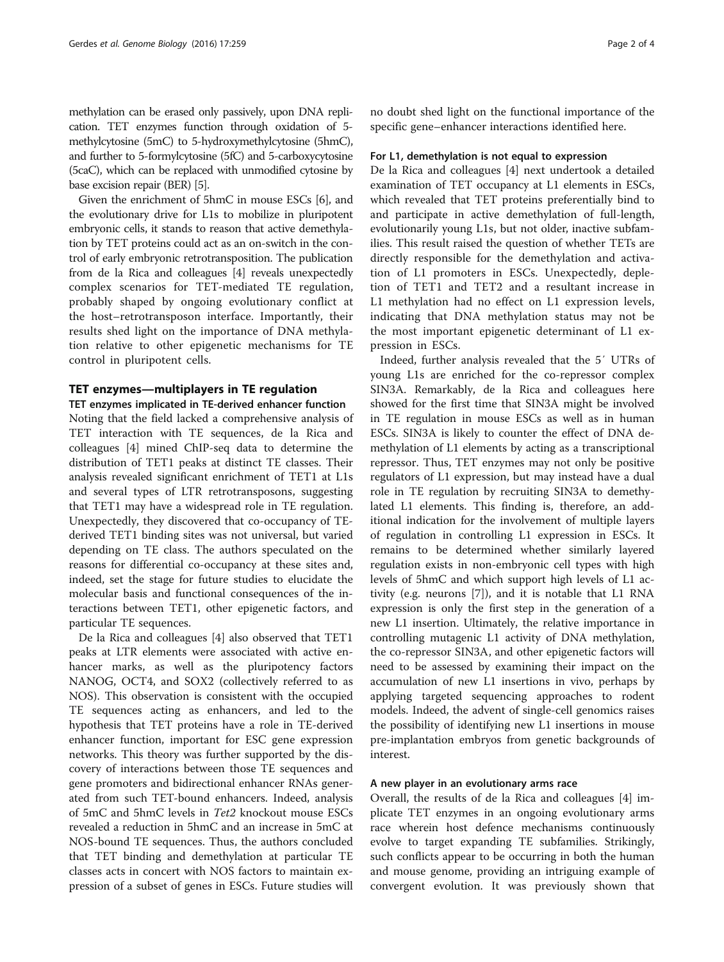methylation can be erased only passively, upon DNA replication. TET enzymes function through oxidation of 5 methylcytosine (5mC) to 5-hydroxymethylcytosine (5hmC), and further to 5-formylcytosine (5fC) and 5-carboxycytosine (5caC), which can be replaced with unmodified cytosine by base excision repair (BER) [\[5](#page-3-0)].

Given the enrichment of 5hmC in mouse ESCs [[6](#page-3-0)], and the evolutionary drive for L1s to mobilize in pluripotent embryonic cells, it stands to reason that active demethylation by TET proteins could act as an on-switch in the control of early embryonic retrotransposition. The publication from de la Rica and colleagues [\[4](#page-3-0)] reveals unexpectedly complex scenarios for TET-mediated TE regulation, probably shaped by ongoing evolutionary conflict at the host–retrotransposon interface. Importantly, their results shed light on the importance of DNA methylation relative to other epigenetic mechanisms for TE control in pluripotent cells.

## TET enzymes—multiplayers in TE regulation

## TET enzymes implicated in TE-derived enhancer function

Noting that the field lacked a comprehensive analysis of TET interaction with TE sequences, de la Rica and colleagues [[4\]](#page-3-0) mined ChIP-seq data to determine the distribution of TET1 peaks at distinct TE classes. Their analysis revealed significant enrichment of TET1 at L1s and several types of LTR retrotransposons, suggesting that TET1 may have a widespread role in TE regulation. Unexpectedly, they discovered that co-occupancy of TEderived TET1 binding sites was not universal, but varied depending on TE class. The authors speculated on the reasons for differential co-occupancy at these sites and, indeed, set the stage for future studies to elucidate the molecular basis and functional consequences of the interactions between TET1, other epigenetic factors, and particular TE sequences.

De la Rica and colleagues [\[4](#page-3-0)] also observed that TET1 peaks at LTR elements were associated with active enhancer marks, as well as the pluripotency factors NANOG, OCT4, and SOX2 (collectively referred to as NOS). This observation is consistent with the occupied TE sequences acting as enhancers, and led to the hypothesis that TET proteins have a role in TE-derived enhancer function, important for ESC gene expression networks. This theory was further supported by the discovery of interactions between those TE sequences and gene promoters and bidirectional enhancer RNAs generated from such TET-bound enhancers. Indeed, analysis of 5mC and 5hmC levels in Tet2 knockout mouse ESCs revealed a reduction in 5hmC and an increase in 5mC at NOS-bound TE sequences. Thus, the authors concluded that TET binding and demethylation at particular TE classes acts in concert with NOS factors to maintain expression of a subset of genes in ESCs. Future studies will

no doubt shed light on the functional importance of the specific gene–enhancer interactions identified here.

## For L1, demethylation is not equal to expression

De la Rica and colleagues [\[4](#page-3-0)] next undertook a detailed examination of TET occupancy at L1 elements in ESCs, which revealed that TET proteins preferentially bind to and participate in active demethylation of full-length, evolutionarily young L1s, but not older, inactive subfamilies. This result raised the question of whether TETs are directly responsible for the demethylation and activation of L1 promoters in ESCs. Unexpectedly, depletion of TET1 and TET2 and a resultant increase in L1 methylation had no effect on L1 expression levels, indicating that DNA methylation status may not be the most important epigenetic determinant of L1 expression in ESCs.

Indeed, further analysis revealed that the 5′ UTRs of young L1s are enriched for the co-repressor complex SIN3A. Remarkably, de la Rica and colleagues here showed for the first time that SIN3A might be involved in TE regulation in mouse ESCs as well as in human ESCs. SIN3A is likely to counter the effect of DNA demethylation of L1 elements by acting as a transcriptional repressor. Thus, TET enzymes may not only be positive regulators of L1 expression, but may instead have a dual role in TE regulation by recruiting SIN3A to demethylated L1 elements. This finding is, therefore, an additional indication for the involvement of multiple layers of regulation in controlling L1 expression in ESCs. It remains to be determined whether similarly layered regulation exists in non-embryonic cell types with high levels of 5hmC and which support high levels of L1 activity (e.g. neurons [[7\]](#page-3-0)), and it is notable that L1 RNA expression is only the first step in the generation of a new L1 insertion. Ultimately, the relative importance in controlling mutagenic L1 activity of DNA methylation, the co-repressor SIN3A, and other epigenetic factors will need to be assessed by examining their impact on the accumulation of new L1 insertions in vivo, perhaps by applying targeted sequencing approaches to rodent models. Indeed, the advent of single-cell genomics raises the possibility of identifying new L1 insertions in mouse pre-implantation embryos from genetic backgrounds of interest.

## A new player in an evolutionary arms race

Overall, the results of de la Rica and colleagues [\[4](#page-3-0)] implicate TET enzymes in an ongoing evolutionary arms race wherein host defence mechanisms continuously evolve to target expanding TE subfamilies. Strikingly, such conflicts appear to be occurring in both the human and mouse genome, providing an intriguing example of convergent evolution. It was previously shown that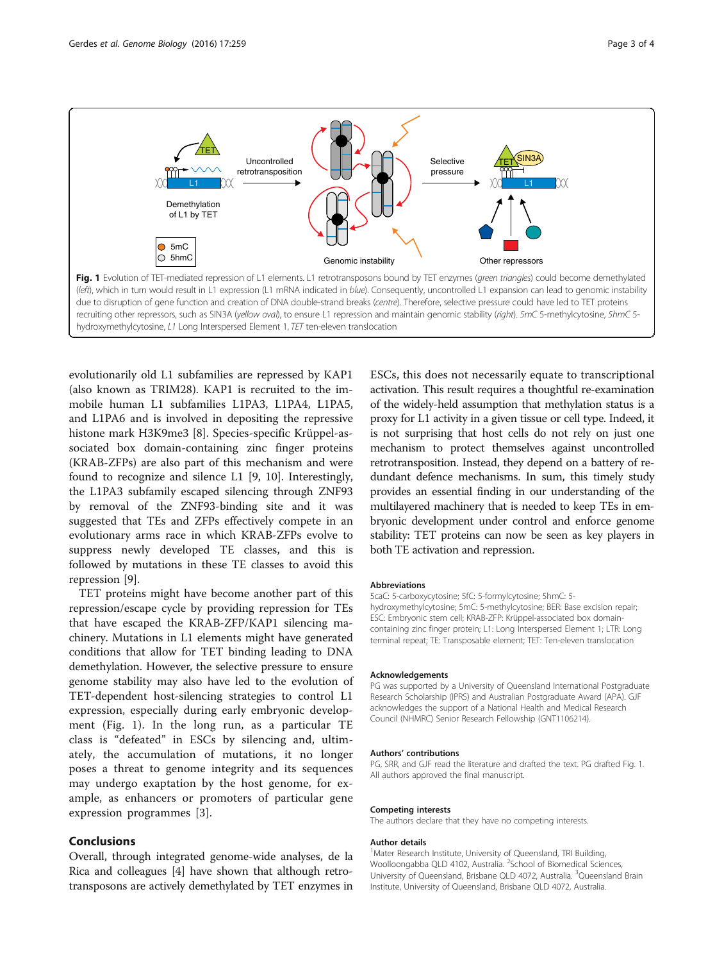

evolutionarily old L1 subfamilies are repressed by KAP1 (also known as TRIM28). KAP1 is recruited to the immobile human L1 subfamilies L1PA3, L1PA4, L1PA5, and L1PA6 and is involved in depositing the repressive histone mark H3K9me3 [[8\]](#page-3-0). Species-specific Krüppel-associated box domain-containing zinc finger proteins (KRAB-ZFPs) are also part of this mechanism and were found to recognize and silence L1 [\[9](#page-3-0), [10](#page-3-0)]. Interestingly, the L1PA3 subfamily escaped silencing through ZNF93 by removal of the ZNF93-binding site and it was suggested that TEs and ZFPs effectively compete in an evolutionary arms race in which KRAB-ZFPs evolve to suppress newly developed TE classes, and this is followed by mutations in these TE classes to avoid this repression [[9\]](#page-3-0).

TET proteins might have become another part of this repression/escape cycle by providing repression for TEs that have escaped the KRAB-ZFP/KAP1 silencing machinery. Mutations in L1 elements might have generated conditions that allow for TET binding leading to DNA demethylation. However, the selective pressure to ensure genome stability may also have led to the evolution of TET-dependent host-silencing strategies to control L1 expression, especially during early embryonic development (Fig. 1). In the long run, as a particular TE class is "defeated" in ESCs by silencing and, ultimately, the accumulation of mutations, it no longer poses a threat to genome integrity and its sequences may undergo exaptation by the host genome, for example, as enhancers or promoters of particular gene expression programmes [\[3](#page-3-0)].

# Conclusions

Overall, through integrated genome-wide analyses, de la Rica and colleagues [\[4](#page-3-0)] have shown that although retrotransposons are actively demethylated by TET enzymes in ESCs, this does not necessarily equate to transcriptional activation. This result requires a thoughtful re-examination of the widely-held assumption that methylation status is a proxy for L1 activity in a given tissue or cell type. Indeed, it is not surprising that host cells do not rely on just one mechanism to protect themselves against uncontrolled retrotransposition. Instead, they depend on a battery of redundant defence mechanisms. In sum, this timely study provides an essential finding in our understanding of the multilayered machinery that is needed to keep TEs in embryonic development under control and enforce genome stability: TET proteins can now be seen as key players in both TE activation and repression.

#### Abbreviations

5caC: 5-carboxycytosine; 5fC: 5-formylcytosine; 5hmC: 5 hydroxymethylcytosine; 5mC: 5-methylcytosine; BER: Base excision repair; ESC: Embryonic stem cell; KRAB-ZFP: Krüppel-associated box domaincontaining zinc finger protein; L1: Long Interspersed Element 1; LTR: Long terminal repeat; TE: Transposable element; TET: Ten-eleven translocation

#### Acknowledgements

PG was supported by a University of Queensland International Postgraduate Research Scholarship (IPRS) and Australian Postgraduate Award (APA). GJF acknowledges the support of a National Health and Medical Research Council (NHMRC) Senior Research Fellowship (GNT1106214).

#### Authors' contributions

PG, SRR, and GJF read the literature and drafted the text. PG drafted Fig. 1. All authors approved the final manuscript.

#### Competing interests

The authors declare that they have no competing interests.

#### Author details

<sup>1</sup>Mater Research Institute, University of Queensland, TRI Building, Woolloongabba QLD 4102, Australia. <sup>2</sup>School of Biomedical Sciences, University of Queensland, Brisbane QLD 4072, Australia. <sup>3</sup>Queensland Brain Institute, University of Queensland, Brisbane QLD 4072, Australia.